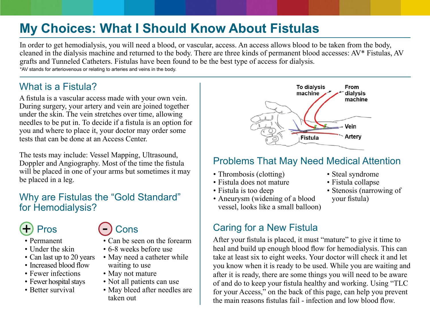# **My Choices: What I Should Know About Fistulas**

In order to get hemodialysis, you will need a blood, or vascular, access. An access allows blood to be taken from the body, cleaned in the dialysis machine and returned to the body. There are three kinds of permanent blood accesses: AV\* Fistulas, AV grafts and Tunneled Catheters. Fistulas have been found to be the best type of access for dialysis.

\*AV stands for arteriovenous or relating to arteries and veins in the body.

## What is a Fistula?

A fistula is a vascular access made with your own vein. During surgery, your artery and vein are joined together under the skin. The vein stretches over time, allowing needles to be put in. To decide if a fistula is an option for you and where to place it, your doctor may order some tests that can be done at an Access Center.

The tests may include: Vessel Mapping, Ultrasound, Doppler and Angiography. Most of the time the fistula will be placed in one of your arms but sometimes it may be placed in a leg.

#### Why are Fistulas the "Gold Standard" for Hemodialysis?

#### Pros  $\bigoplus$  Pros  $\bigodot$  Cons

- Permanent
- Under the skin
- Can last up to 20 years
- Increased blood flow
- Fewer infections
- Fewer hospital stays
- Better survival

- Can be seen on the forearm -
- 6-8 weeks before use
- May need a catheter while waiting to use
- May not mature
- Not all patients can use
- May bleed after needles are taken out



#### Problems That May Need Medical Attention

- Thrombosis (clotting)
- Fistula does not mature
- Fistula is too deep
- Aneurysm (widening of a blood vessel, looks like a small balloon)

## Caring for a New Fistula

After your fistula is placed, it must "mature" to give it time to heal and build up enough blood flow for hemodialysis. This can take at least six to eight weeks. Your doctor will check it and let you know when it is ready to be used. While you are waiting and after it is ready, there are some things you will need to be aware of and do to keep your fistula healthy and working. Using "TLC for your Access," on the back of this page, can help you prevent the main reasons fistulas fail - infection and low blood flow.

- Steal syndrome
- Fistula collapse
- Stenosis (narrowing of your fistula)